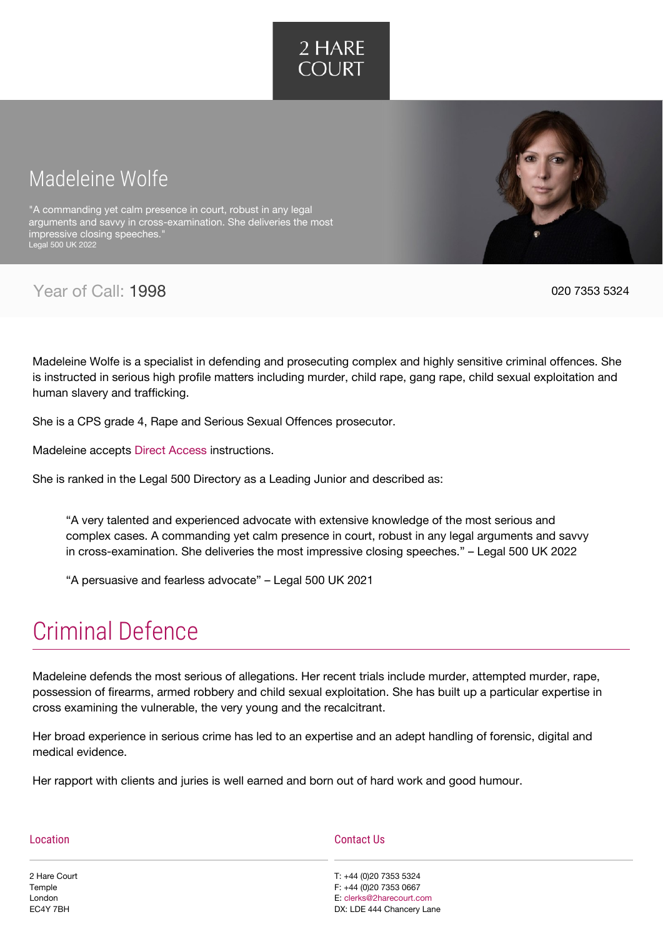

# Madeleine Wolfe

"A commanding yet calm presence in court, robust in any legal arguments and savvy in cross-examination. She deliveries the most impressive closing speeches." Legal 500 UK 2022

Year of Call: 1998 **020 7353 5324** 

Madeleine Wolfe is a specialist in defending and prosecuting complex and highly sensitive criminal offences. She is instructed in serious high profile matters including murder, child rape, gang rape, child sexual exploitation and human slavery and trafficking.

She is a CPS grade 4, Rape and Serious Sexual Offences prosecutor.

Madeleine accepts [Direct Access](https://www.2harecourt.com/direct-access/) instructions.

She is ranked in the Legal 500 Directory as a Leading Junior and described as:

"A very talented and experienced advocate with extensive knowledge of the most serious and complex cases. A commanding yet calm presence in court, robust in any legal arguments and savvy in cross-examination. She deliveries the most impressive closing speeches." – Legal 500 UK 2022

"A persuasive and fearless advocate" – Legal 500 UK 2021

# [Criminal Defence](#page--1-0)

Madeleine defends the most serious of allegations. Her recent trials include murder, attempted murder, rape, possession of firearms, armed robbery and child sexual exploitation. She has built up a particular expertise in cross examining the vulnerable, the very young and the recalcitrant.

Her broad experience in serious crime has led to an expertise and an adept handling of forensic, digital and medical evidence.

Her rapport with clients and juries is well earned and born out of hard work and good humour.

| Location     | Contact Us                |  |
|--------------|---------------------------|--|
| 2 Hare Court | T: +44 (0)20 7353 5324    |  |
| Temple       | F: +44 (0)20 7353 0667    |  |
| London       | E: clerks@2harecourt.com  |  |
| EC4Y 7BH     | DX: LDE 444 Chancery Lane |  |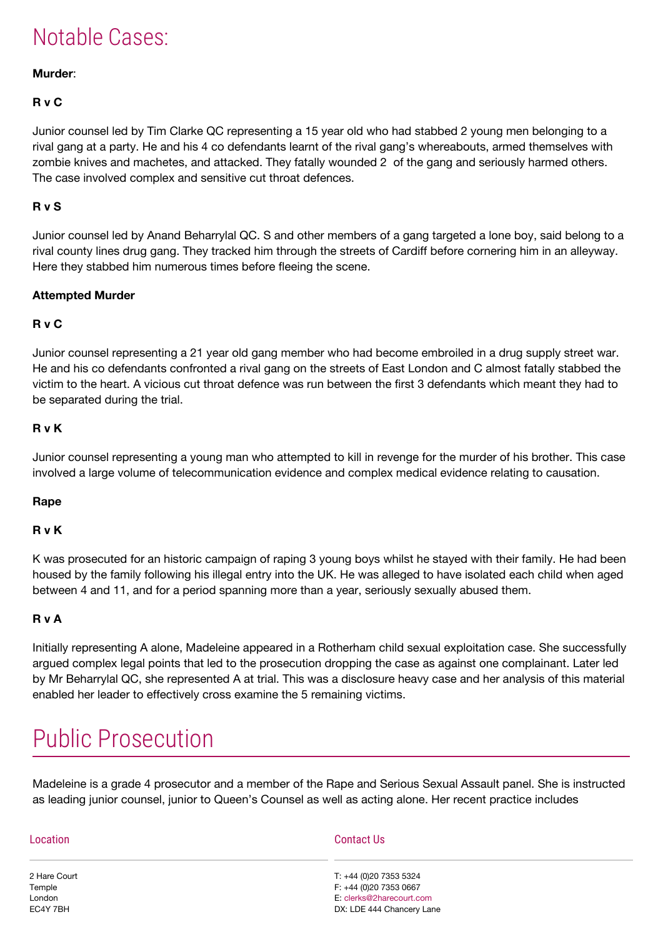# Notable Cases:

## **Murder**:

## **R v C**

Junior counsel led by Tim Clarke QC representing a 15 year old who had stabbed 2 young men belonging to a rival gang at a party. He and his 4 co defendants learnt of the rival gang's whereabouts, armed themselves with zombie knives and machetes, and attacked. They fatally wounded 2 of the gang and seriously harmed others. The case involved complex and sensitive cut throat defences.

## **R v S**

Junior counsel led by Anand Beharrylal QC. S and other members of a gang targeted a lone boy, said belong to a rival county lines drug gang. They tracked him through the streets of Cardiff before cornering him in an alleyway. Here they stabbed him numerous times before fleeing the scene.

#### **Attempted Murder**

## **R v C**

Junior counsel representing a 21 year old gang member who had become embroiled in a drug supply street war. He and his co defendants confronted a rival gang on the streets of East London and C almost fatally stabbed the victim to the heart. A vicious cut throat defence was run between the first 3 defendants which meant they had to be separated during the trial.

#### **R v K**

Junior counsel representing a young man who attempted to kill in revenge for the murder of his brother. This case involved a large volume of telecommunication evidence and complex medical evidence relating to causation.

#### **Rape**

#### **R v K**

K was prosecuted for an historic campaign of raping 3 young boys whilst he stayed with their family. He had been housed by the family following his illegal entry into the UK. He was alleged to have isolated each child when aged between 4 and 11, and for a period spanning more than a year, seriously sexually abused them.

#### **R v A**

Initially representing A alone, Madeleine appeared in a Rotherham child sexual exploitation case. She successfully argued complex legal points that led to the prosecution dropping the case as against one complainant. Later led by Mr Beharrylal QC, she represented A at trial. This was a disclosure heavy case and her analysis of this material enabled her leader to effectively cross examine the 5 remaining victims.

# [Public Prosecution](#page--1-0)

Madeleine is a grade 4 prosecutor and a member of the Rape and Serious Sexual Assault panel. She is instructed as leading junior counsel, junior to Queen's Counsel as well as acting alone. Her recent practice includes

| Location     | <b>Contact Us</b>         |
|--------------|---------------------------|
| 2 Hare Court | T: +44 (0)20 7353 5324    |
| Temple       | F: +44 (0)20 7353 0667    |
| London       | E: clerks@2harecourt.com  |
| EC4Y 7BH     | DX: LDE 444 Chancery Lane |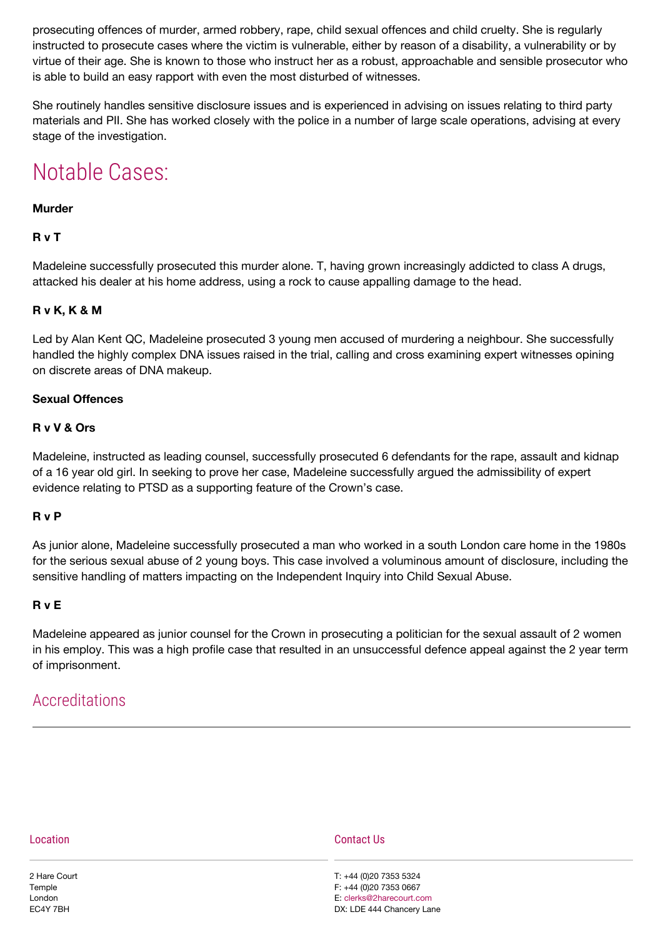prosecuting offences of murder, armed robbery, rape, child sexual offences and child cruelty. She is regularly instructed to prosecute cases where the victim is vulnerable, either by reason of a disability, a vulnerability or by virtue of their age. She is known to those who instruct her as a robust, approachable and sensible prosecutor who is able to build an easy rapport with even the most disturbed of witnesses.

She routinely handles sensitive disclosure issues and is experienced in advising on issues relating to third party materials and PII. She has worked closely with the police in a number of large scale operations, advising at every stage of the investigation.

# Notable Cases:

## **Murder**

# **R v T**

Madeleine successfully prosecuted this murder alone. T, having grown increasingly addicted to class A drugs, attacked his dealer at his home address, using a rock to cause appalling damage to the head.

# **R v K, K & M**

Led by Alan Kent QC, Madeleine prosecuted 3 young men accused of murdering a neighbour. She successfully handled the highly complex DNA issues raised in the trial, calling and cross examining expert witnesses opining on discrete areas of DNA makeup.

## **Sexual Offences**

## **R v V & Ors**

Madeleine, instructed as leading counsel, successfully prosecuted 6 defendants for the rape, assault and kidnap of a 16 year old girl. In seeking to prove her case, Madeleine successfully argued the admissibility of expert evidence relating to PTSD as a supporting feature of the Crown's case.

## **R v P**

As junior alone, Madeleine successfully prosecuted a man who worked in a south London care home in the 1980s for the serious sexual abuse of 2 young boys. This case involved a voluminous amount of disclosure, including the sensitive handling of matters impacting on the Independent Inquiry into Child Sexual Abuse.

## **R v E**

Madeleine appeared as junior counsel for the Crown in prosecuting a politician for the sexual assault of 2 women in his employ. This was a high profile case that resulted in an unsuccessful defence appeal against the 2 year term of imprisonment.

# Accreditations

| ocation |  |
|---------|--|
|         |  |
|         |  |

2 Hare Court Temple London EC4Y 7BH

#### Contact Us

T: +44 (0)20 7353 5324 F: +44 (0)20 7353 0667 E: [clerks@2harecourt.com](https://www.2harecourt.com/wp-admin/clerks@2harecourt.com) DX: LDE 444 Chancery Lane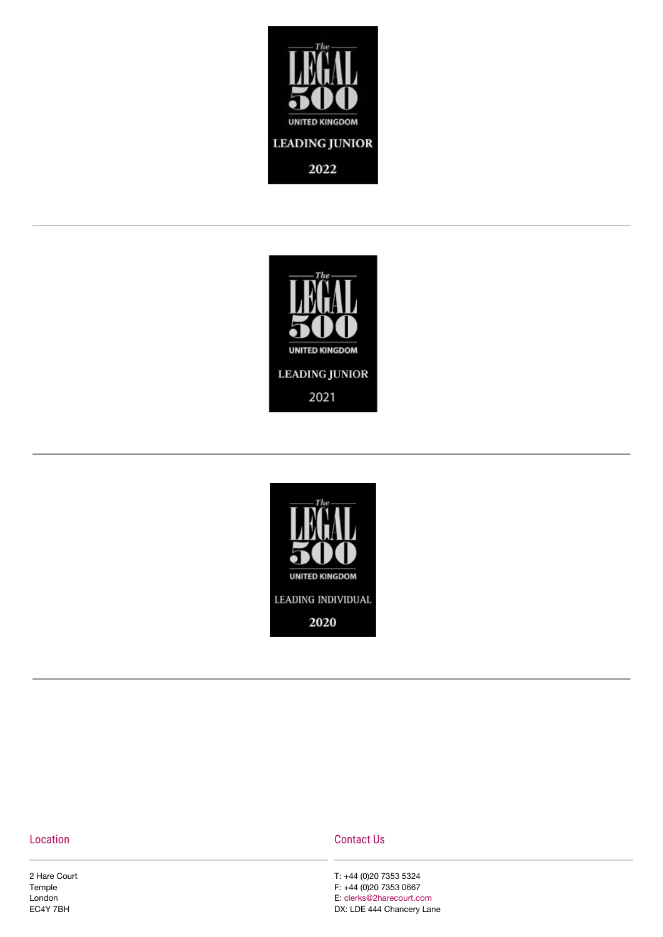





#### Location

2 Hare Court Temple London EC4Y 7BH

#### Contact Us

T: +44 (0)20 7353 5324 F: +44 (0)20 7353 0667 E: [clerks@2harecourt.com](https://www.2harecourt.com/wp-admin/clerks@2harecourt.com) DX: LDE 444 Chancery Lane